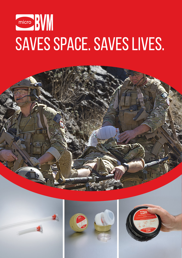# micro **BVW** SAVES SPACE. SAVES LIVES.







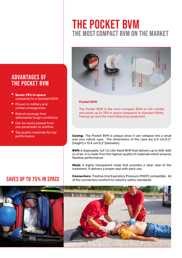## The most compact BVM on the market The Pocket BVM



#### Pocket BVM

The Pocket BVM is the most compact BVM on the market and saves up to 75% in space compared to standard BVMs, freeing up room for more lifesaving equipment.

Casing: The Pocket BVM is unique since it can collapse into a small and very robust case. The dimensions of the case are 6.3 cm/2.2'' (height) x 13.4 cm/5.2''(diameter).

BVM: A disposable, full 1.6 Liter Adult BVM that delivers up to 400-600 cc of air. It is made from the highest quality of materials which ensures flawless performance.

Mask: A highly transparent mask that provides a clear view of the treatment. It delivers a proper seal with each use.

Connectors: Positive End Expiratory Pressure (PEEP) compatible. All of the connectors conform to industry safety standards.



#### Advantages of the Pocket BVM

- **Saves 75% in space** compared to a standard BVM
- **Proven in military and** civilian emergencies
- n Robust package that withstands tough conditions
- Can be easily passed from one paramedic to another
- $\blacksquare$  Top quality materials for top performance

### SAVES up to 75% in Space

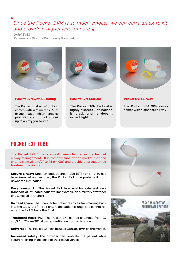#### *Since the Pocket BVM is so much smaller, we can carry an extra kit and provide a higher level of care*

GARY EVES

 $\overline{a}$ 

Paramedic / Director Community Paramedics



Pocket BVM with 0, Tubing

The Pocket BVM with  $0<sub>2</sub>$  tubing comes with a 2 meter / 6' 6" oxygen tube which enables practitioners to quickly hook up to an oxygen source.



#### Pocket BVM Tactical

The Pocket BVM Tactical is highly discreet - its balloon is black and it doesn't reflect light.



Pocket BVM Airway

The Pocket BVM OPA airway comes with a standard airway.

#### POCKET EXT TUBE

.

The Pocket EXT Tube is a real game changer in the field of airway management. It is the only tube on the market that can extend from 23 cm/9" to 75 cm/30" and provide unprecedented treatment flexibility.

Secure airway: Once an endotracheal tube (ETT) or an LMA has been inserted and secured, the Pocket EXT tube protects it from unwanted extubation.

**Easy transport:** The Pocket EXT tube enables safe and easy transport of intubated patients (for example on a military stretcher or a wheeled stretcher).

No dead space: The T connector prevents any air from flowing back into the tube. All of the air enters the patient's lungs and cannot reenter the EXT Tube or the BVM.

Treatment flexibility: The Pocket EXT can be extended from 23 cm/9" to 75 cm/30", allowing ventilation from a distance.

Universal: The Pocket EXT can be used with any BVM on the market.

Increased safety: The provider can ventilate the patient while securely sitting in the chair of the rescue vehicle.